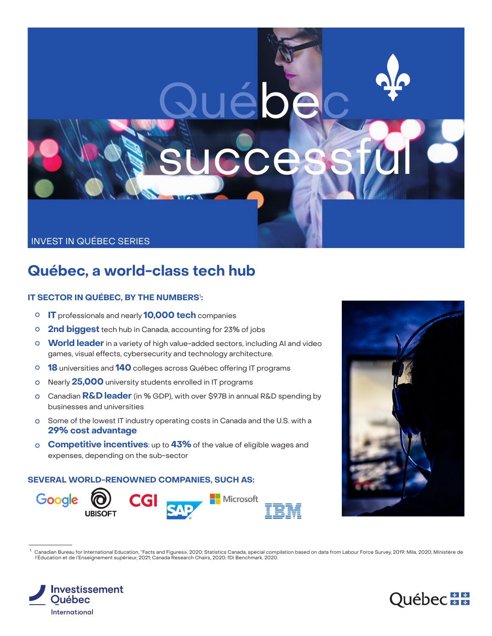# Québec successful

## INVEST IN QUÉBEC SERIES

# **Québec, a world-class tech hub**

# **IT SECTOR IN QUÉBEC, BY THE NUMBERS**<sup>1</sup> **:**

- **IT** professionals and nearly **10,000 tech** companies
- **2nd biggest** tech hub in Canada, accounting for 23% of jobs
- **World leader** in a variety of high value-added sectors, including AI and video games, visual effects, cybersecurity and technology architecture.
- **18** universities and **140** colleges across Québec offering IT programs
- Nearly **25,000** university students enrolled in IT programs
- Canadian **R&D leader** (in % GDP), with over \$9.7B in annual R&D spending by businesses and universities
- **O** Some of the lowest IT industry operating costs in Canada and the U.S. with a **29% cost advantage**
- **Competitive incentives**: up to **43%** of the value of eligible wages and expenses, depending on the sub-sector

#### **SEVERAL WORLD-RENOWNED COMPANIES, SUCH AS:**



<sup>1</sup> Canadian Bureau for International Education, "Facts and Figures», 2020; Statistics Canada, special compilation based on data from Labour Force Survey, 2019; Mila, 2020; Ministère de l'Éducation et de l'Enseignement supérieur, 2021; Canada Research Chairs, 2020; fDi Benchmark, 2020.